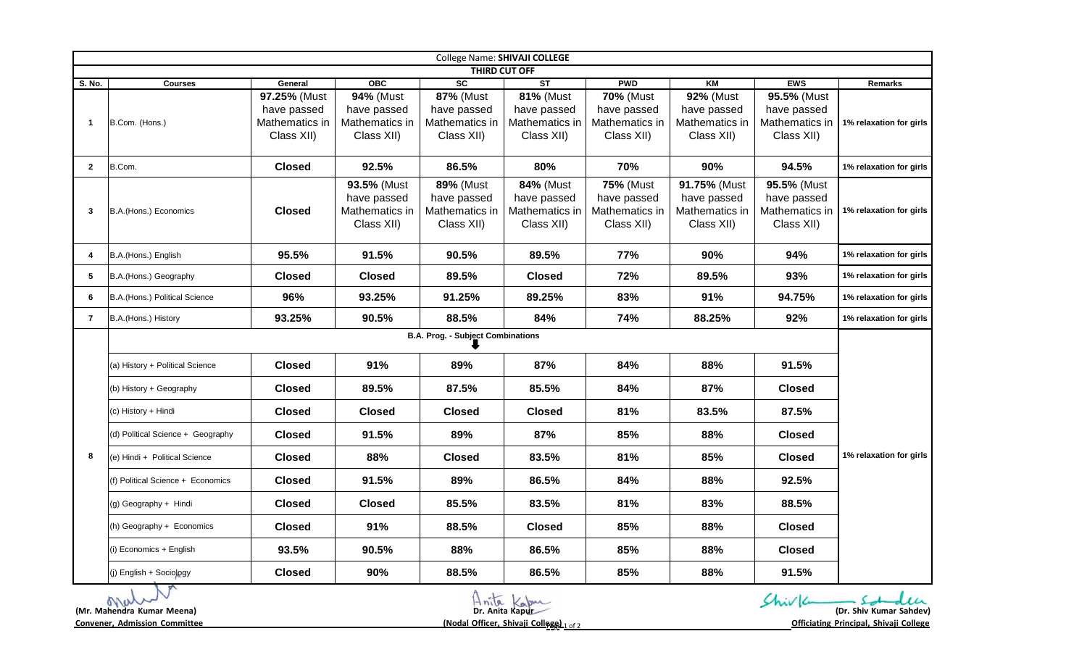| College Name: SHIVAJI COLLEGE                                                                                                                                                                                                                             |                                          |                                             |                                                            |                                                                 |                                                                 |                                                                 |                                                             |                                                            |                         |  |
|-----------------------------------------------------------------------------------------------------------------------------------------------------------------------------------------------------------------------------------------------------------|------------------------------------------|---------------------------------------------|------------------------------------------------------------|-----------------------------------------------------------------|-----------------------------------------------------------------|-----------------------------------------------------------------|-------------------------------------------------------------|------------------------------------------------------------|-------------------------|--|
|                                                                                                                                                                                                                                                           |                                          |                                             | OBC                                                        | SC                                                              | <b>THIRD CUT OFF</b><br>$\overline{\text{ST}}$                  |                                                                 |                                                             |                                                            |                         |  |
| S. No.                                                                                                                                                                                                                                                    | <b>Courses</b>                           | General<br>97.25% (Must                     | 94% (Must                                                  | <b>87% (Must</b>                                                | <b>81% (Must</b>                                                | <b>PWD</b><br><b>70% (Must</b>                                  | KM<br>92% (Must                                             | <b>EWS</b><br>95.5% (Must                                  | Remarks                 |  |
| -1                                                                                                                                                                                                                                                        | B.Com. (Hons.)                           | have passed<br>Mathematics in<br>Class XII) | have passed<br>Mathematics in<br>Class XII)                | have passed<br>Mathematics in<br>Class XII)                     | have passed<br>Mathematics in<br>Class XII)                     | have passed<br>Mathematics in<br>Class XII)                     | have passed<br>Mathematics in<br>Class XII)                 | have passed<br>Mathematics in<br>Class XII)                | 1% relaxation for girls |  |
| $\mathbf{2}$                                                                                                                                                                                                                                              | B.Com.                                   | <b>Closed</b>                               | 92.5%                                                      | 86.5%                                                           | 80%                                                             | 70%                                                             | 90%                                                         | 94.5%                                                      | 1% relaxation for girls |  |
| 3                                                                                                                                                                                                                                                         | B.A.(Hons.) Economics                    | <b>Closed</b>                               | 93.5% (Must<br>have passed<br>Mathematics in<br>Class XII) | <b>89% (Must</b><br>have passed<br>Mathematics in<br>Class XII) | <b>84% (Must</b><br>have passed<br>Mathematics in<br>Class XII) | <b>75% (Must</b><br>have passed<br>Mathematics in<br>Class XII) | 91.75% (Must<br>have passed<br>Mathematics in<br>Class XII) | 95.5% (Must<br>have passed<br>Mathematics in<br>Class XII) | 1% relaxation for girls |  |
| 4                                                                                                                                                                                                                                                         | B.A.(Hons.) English                      | 95.5%                                       | 91.5%                                                      | 90.5%                                                           | 89.5%                                                           | 77%                                                             | 90%                                                         | 94%                                                        | 1% relaxation for girls |  |
| 5                                                                                                                                                                                                                                                         | B.A.(Hons.) Geography                    | <b>Closed</b>                               | <b>Closed</b>                                              | 89.5%                                                           | <b>Closed</b>                                                   | 72%                                                             | 89.5%                                                       | 93%                                                        | 1% relaxation for girls |  |
| 6                                                                                                                                                                                                                                                         | B.A. (Hons.) Political Science           | 96%                                         | 93.25%                                                     | 91.25%                                                          | 89.25%                                                          | 83%                                                             | 91%                                                         | 94.75%                                                     | 1% relaxation for girls |  |
| 7                                                                                                                                                                                                                                                         | B.A.(Hons.) History                      | 93.25%                                      | 90.5%                                                      | 88.5%                                                           | 84%                                                             | 74%                                                             | 88.25%                                                      | 92%                                                        | 1% relaxation for girls |  |
|                                                                                                                                                                                                                                                           | <b>B.A. Prog. - Subject Combinations</b> |                                             |                                                            |                                                                 |                                                                 |                                                                 |                                                             |                                                            |                         |  |
|                                                                                                                                                                                                                                                           | (a) History + Political Science          | <b>Closed</b>                               | 91%                                                        | 89%                                                             | 87%                                                             | 84%                                                             | 88%                                                         | 91.5%                                                      | 1% relaxation for girls |  |
|                                                                                                                                                                                                                                                           | (b) History + Geography                  | <b>Closed</b>                               | 89.5%                                                      | 87.5%                                                           | 85.5%                                                           | 84%                                                             | 87%                                                         | <b>Closed</b>                                              |                         |  |
|                                                                                                                                                                                                                                                           | (c) History + Hindi                      | <b>Closed</b>                               | <b>Closed</b>                                              | <b>Closed</b>                                                   | <b>Closed</b>                                                   | 81%                                                             | 83.5%                                                       | 87.5%                                                      |                         |  |
| 8                                                                                                                                                                                                                                                         | (d) Political Science + Geography        | <b>Closed</b>                               | 91.5%                                                      | 89%                                                             | 87%                                                             | 85%                                                             | 88%                                                         | <b>Closed</b>                                              |                         |  |
|                                                                                                                                                                                                                                                           | (e) Hindi + Political Science            | <b>Closed</b>                               | 88%                                                        | <b>Closed</b>                                                   | 83.5%                                                           | 81%                                                             | 85%                                                         | <b>Closed</b>                                              |                         |  |
|                                                                                                                                                                                                                                                           | (f) Political Science + Economics        | <b>Closed</b>                               | 91.5%                                                      | 89%                                                             | 86.5%                                                           | 84%                                                             | 88%                                                         | 92.5%                                                      |                         |  |
|                                                                                                                                                                                                                                                           | (g) Geography + Hindi                    | <b>Closed</b>                               | <b>Closed</b>                                              | 85.5%                                                           | 83.5%                                                           | 81%                                                             | 83%                                                         | 88.5%                                                      |                         |  |
|                                                                                                                                                                                                                                                           | (h) Geography + Economics                | <b>Closed</b>                               | 91%                                                        | 88.5%                                                           | <b>Closed</b>                                                   | 85%                                                             | 88%                                                         | <b>Closed</b>                                              |                         |  |
|                                                                                                                                                                                                                                                           | (i) Economics + English                  | 93.5%                                       | 90.5%                                                      | 88%                                                             | 86.5%                                                           | 85%                                                             | 88%                                                         | <b>Closed</b>                                              |                         |  |
|                                                                                                                                                                                                                                                           | (j) English + Sociology                  | <b>Closed</b>                               | 90%                                                        | 88.5%                                                           | 86.5%                                                           | 85%                                                             | 88%                                                         | 91.5%                                                      |                         |  |
| Shiv 6<br>$H_{\text{nila}}$<br>M<br>Kapur<br>Dr. Anita Kapur<br>(Dr. Shiv Kumar Sahdev)<br>(Mr. Mahendra Kumar Meena)<br><b>Convener, Admission Committee</b><br>(Nodal Officer, Shivaji College) 1 of 2<br><b>Officiating Principal, Shivaji College</b> |                                          |                                             |                                                            |                                                                 |                                                                 |                                                                 |                                                             |                                                            |                         |  |

**Convener, Admission Committee (Nodal Officer, Shivaji Colle**<sup>P</sup> **g**ag**e**<sup>e</sup>

**)** <sup>1</sup> of 2 **Officiating Principal, Shivaji College**